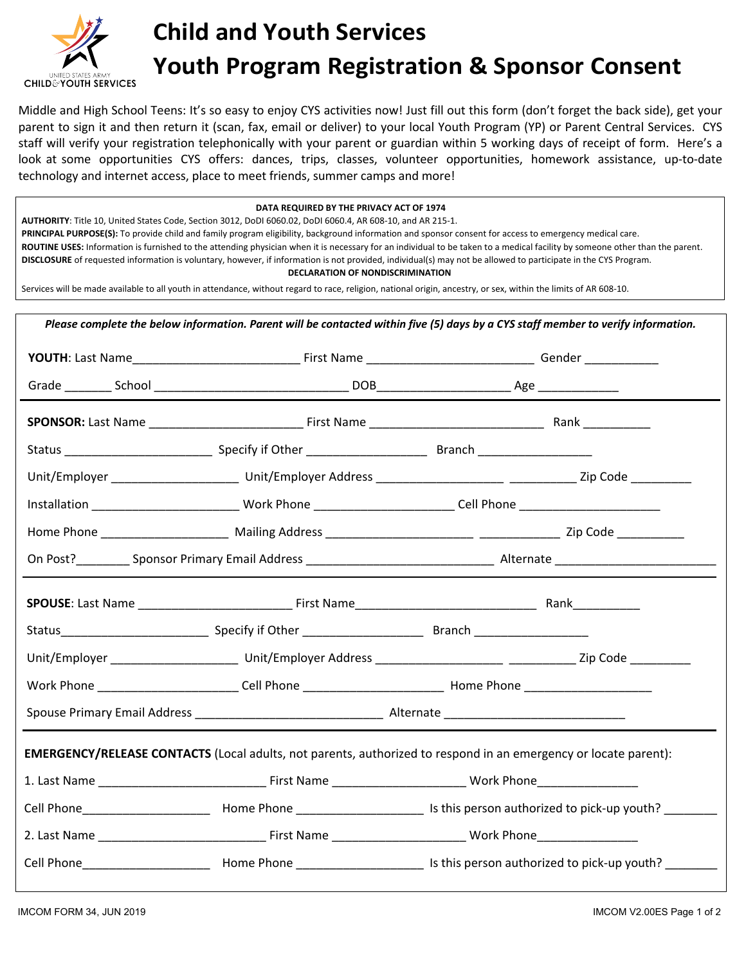

## **Child and Youth Services Youth Program Registration & Sponsor Consent**

Middle and High School Teens: It's so easy to enjoy CYS activities now! Just fill out this form (don't forget the back side), get your parent to sign it and then return it (scan, fax, email or deliver) to your local Youth Program (YP) or Parent Central Services. CYS staff will verify your registration telephonically with your parent or guardian within 5 working days of receipt of form. Here's a look at some opportunities CYS offers: dances, trips, classes, volunteer opportunities, homework assistance, up-to-date technology and internet access, place to meet friends, summer camps and more!

## **DATA REQUIRED BY THE PRIVACY ACT OF 1974**

**AUTHORITY**: Title 10, United States Code, Section 3012, DoDI 6060.02, DoDI 6060.4, AR 608-10, and AR 215-1.

**PRINCIPAL PURPOSE(S):** To provide child and family program eligibility, background information and sponsor consent for access to emergency medical care.

**ROUTINE USES:** Information is furnished to the attending physician when it is necessary for an individual to be taken to a medical facility by someone other than the parent. **DISCLOSURE** of requested information is voluntary, however, if information is not provided, individual(s) may not be allowed to participate in the CYS Program.

**DECLARATION OF NONDISCRIMINATION**

Services will be made available to all youth in attendance, without regard to race, religion, national origin, ancestry, or sex, within the limits of AR 608-10.

| Installation ____________________________Work Phone __________________________Cell Phone _____________________         |  |  |  |  |
|------------------------------------------------------------------------------------------------------------------------|--|--|--|--|
|                                                                                                                        |  |  |  |  |
|                                                                                                                        |  |  |  |  |
|                                                                                                                        |  |  |  |  |
|                                                                                                                        |  |  |  |  |
|                                                                                                                        |  |  |  |  |
| Work Phone ___________________________Cell Phone _______________________________ Home Phone __________________         |  |  |  |  |
|                                                                                                                        |  |  |  |  |
| <b>EMERGENCY/RELEASE CONTACTS</b> (Local adults, not parents, authorized to respond in an emergency or locate parent): |  |  |  |  |
|                                                                                                                        |  |  |  |  |
|                                                                                                                        |  |  |  |  |
|                                                                                                                        |  |  |  |  |
|                                                                                                                        |  |  |  |  |
|                                                                                                                        |  |  |  |  |